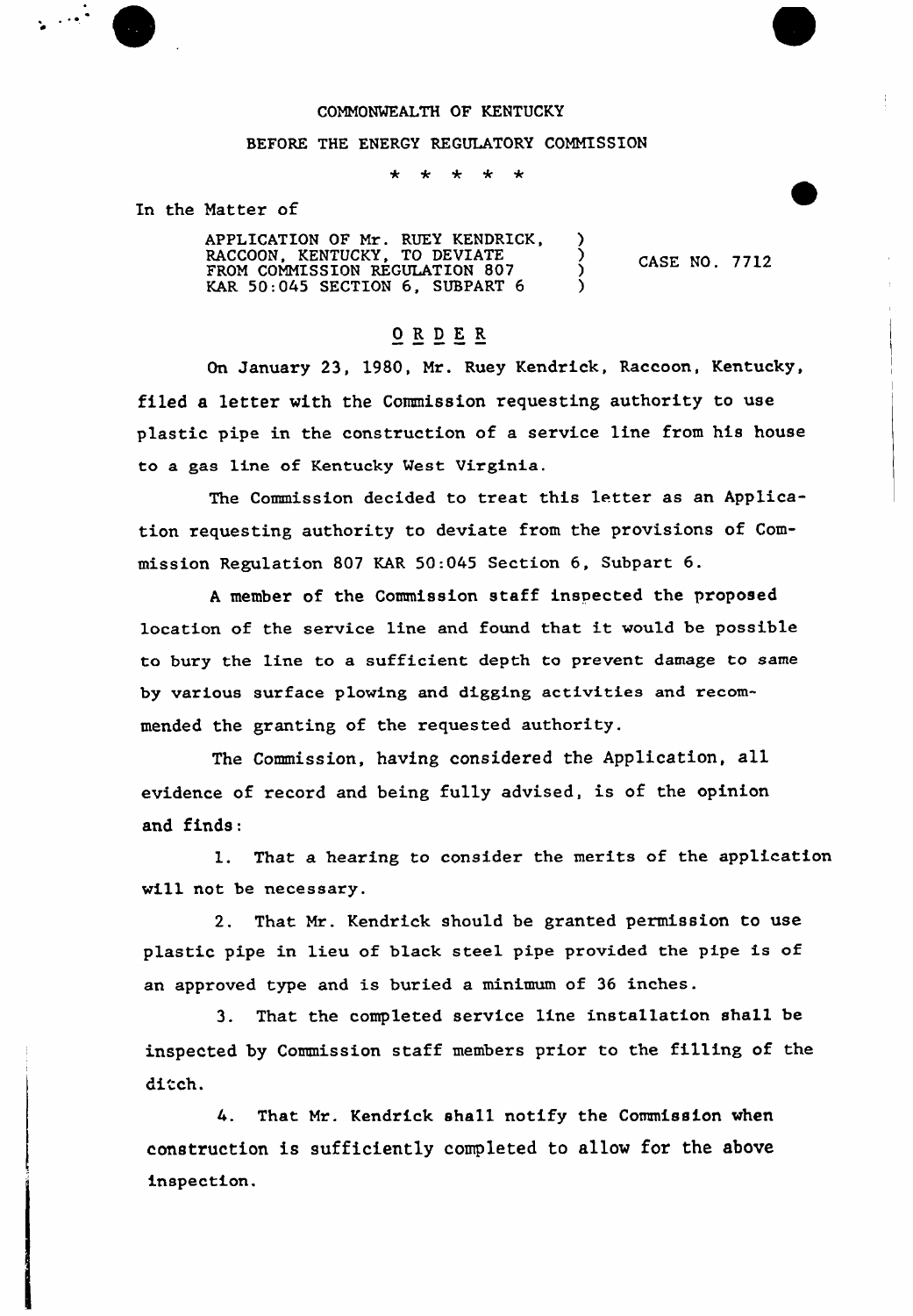## COMMONWEALTH OF KENTUCKY

## BEFORE THE ENERGY REGULATORY COMMISSION

\* \* \*  $\star$  $\star$ 

In the Matter of

APPLICATION OF Mr. RUEY KENDRICK, RACCOON, KENTUCKY, TO DEVIATE ) FROM COMMISSION REGULATION 807 KAR  $50:045$  SECTION  $6$ , SUBPART  $6$  )

CASE NO. 7712

## ORDER

On January 23, 1980, Mr. Ruey Kendrick, Raccoon, Kentucky, filed a letter with the Commission requesting authority to use plastic pipe in the construction of a service line from his house to a gas line of Kentucky West Virginia.

The Commission decided to treat this letter as an Application requesting authority to deviate from the provisions of Commission Regulation 807 KAR 50:045 Section 6, Subpart 6.

<sup>A</sup> member of the Commission staff inspected the proposed location of the service line and found that it would be possible to bury the line to a sufficient depth to prevent damage to same by various surface plowing and digging activities and recommended the granting of the requested authority.

The Commission, having considered the Application, all evidence of record and being fully advised, is of the opinion and finds:

1. That a hearing to consider the merits of the application will not be necessary.

2. That Mr. Kendrick should be granted permission to use plastic pipe in lieu of black steel pipe provided the pipe is of an approved type and is buried a minimum of 36 inches.

3. That the completed service line installation shall be inspected by Commission staff members prior to the filling of the ditch.

4. That Mr. Kendrick shall notify the Commission when construction is sufficiently completed to allow for the above inspection.